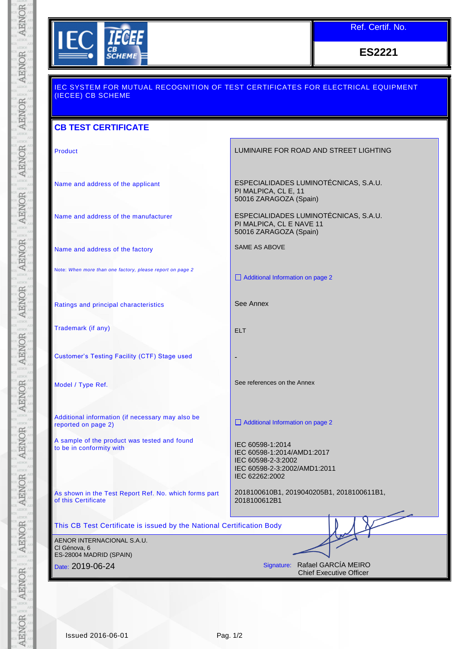

Ref. Certif. No.

**ES2221**

| <u>IEC SYSTEM FOR MUTUAL RECOGNITION OF TEST CERTIFICATES FOR ELECTRICAL EQUIPMENT</u><br>(IECEE) CB SCHEME |                                                                                                                        |  |  |  |
|-------------------------------------------------------------------------------------------------------------|------------------------------------------------------------------------------------------------------------------------|--|--|--|
| <b>CB TEST CERTIFICATE</b>                                                                                  |                                                                                                                        |  |  |  |
| Product                                                                                                     | LUMINAIRE FOR ROAD AND STREET LIGHTING                                                                                 |  |  |  |
| Name and address of the applicant                                                                           | ESPECIALIDADES LUMINOTÉCNICAS, S.A.U.<br>PI MALPICA, CL E, 11<br>50016 ZARAGOZA (Spain)                                |  |  |  |
| Name and address of the manufacturer                                                                        | ESPECIALIDADES LUMINOTÉCNICAS, S.A.U.<br>PI MALPICA, CL E NAVE 11<br>50016 ZARAGOZA (Spain)                            |  |  |  |
| Name and address of the factory                                                                             | <b>SAME AS ABOVE</b>                                                                                                   |  |  |  |
| Note: When more than one factory, please report on page 2                                                   | Additional Information on page 2                                                                                       |  |  |  |
| Ratings and principal characteristics                                                                       | See Annex                                                                                                              |  |  |  |
| Trademark (if any)                                                                                          | <b>ELT</b>                                                                                                             |  |  |  |
| <b>Customer's Testing Facility (CTF) Stage used</b>                                                         |                                                                                                                        |  |  |  |
| Model / Type Ref.                                                                                           | See references on the Annex                                                                                            |  |  |  |
| Additional information (if necessary may also be<br>reported on page 2)                                     | Additional Information on page 2                                                                                       |  |  |  |
| A sample of the product was tested and found<br>to be in conformity with                                    | IEC 60598-1:2014<br>IEC 60598-1:2014/AMD1:2017<br>IEC 60598-2-3:2002<br>IEC 60598-2-3:2002/AMD1:2011<br>IEC 62262:2002 |  |  |  |
| As shown in the Test Report Ref. No. which forms part<br>of this Certificate                                | 2018100610B1, 2019040205B1, 2018100611B1,<br>2018100612B1                                                              |  |  |  |
| This CB Test Certificate is issued by the National Certification Body                                       |                                                                                                                        |  |  |  |
| AENOR INTERNACIONAL S.A.U.<br>Cl Génova, 6<br>ES-28004 MADRID (SPAIN)                                       |                                                                                                                        |  |  |  |
| Date: 2019-06-24                                                                                            | Signature: Rafael GARCÍA MEIRO<br><b>Chief Executive Officer</b>                                                       |  |  |  |